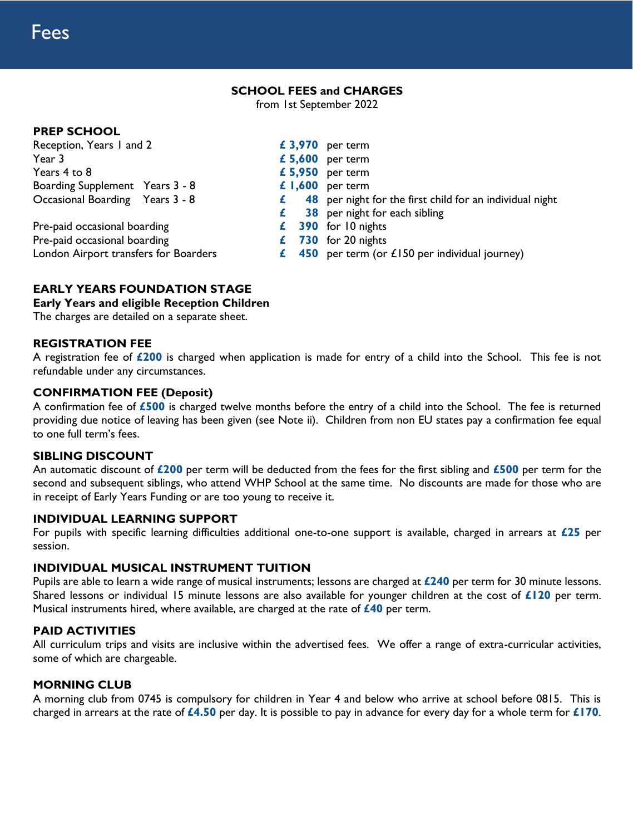# **SCHOOL FEES and CHARGES**

from 1st September 2022

# **PREP SCHOOL**

| Reception, Years I and 2              | £ 3,970 per term                                         |
|---------------------------------------|----------------------------------------------------------|
| Year 3                                | £ $5,600$ per term                                       |
| Years 4 to 8                          | $£ 5,950$ per term                                       |
| Boarding Supplement Years 3 - 8       | £ $1,600$ per term                                       |
| Occasional Boarding Years 3 - 8       | 48 per night for the first child for an individual night |
|                                       | $\epsilon$ 38 per night for each sibling                 |
| Pre-paid occasional boarding          | £ 390 for 10 nights                                      |
| Pre-paid occasional boarding          | $£$ 730 for 20 nights                                    |
| London Airport transfers for Boarders | £ 450 per term (or £150 per individual journey)          |

# **EARLY YEARS FOUNDATION STAGE**

## **Early Years and eligible Reception Children**

The charges are detailed on a separate sheet.

# **REGISTRATION FEE**

A registration fee of **£200** is charged when application is made for entry of a child into the School. This fee is not refundable under any circumstances.

# **CONFIRMATION FEE (Deposit)**

A confirmation fee of **£500** is charged twelve months before the entry of a child into the School. The fee is returned providing due notice of leaving has been given (see Note ii). Children from non EU states pay a confirmation fee equal to one full term's fees.

## **SIBLING DISCOUNT**

An automatic discount of **£200** per term will be deducted from the fees for the first sibling and **£500** per term for the second and subsequent siblings, who attend WHP School at the same time. No discounts are made for those who are in receipt of Early Years Funding or are too young to receive it.

#### **INDIVIDUAL LEARNING SUPPORT**

For pupils with specific learning difficulties additional one-to-one support is available, charged in arrears at **£25** per session.

#### **INDIVIDUAL MUSICAL INSTRUMENT TUITION**

Pupils are able to learn a wide range of musical instruments; lessons are charged at **£240** per term for 30 minute lessons. Shared lessons or individual 15 minute lessons are also available for younger children at the cost of **£120** per term. Musical instruments hired, where available, are charged at the rate of **£40** per term.

#### **PAID ACTIVITIES**

All curriculum trips and visits are inclusive within the advertised fees. We offer a range of extra-curricular activities, some of which are chargeable.

#### **MORNING CLUB**

A morning club from 0745 is compulsory for children in Year 4 and below who arrive at school before 0815. This is charged in arrears at the rate of **£4.50** per day. It is possible to pay in advance for every day for a whole term for **£170**.